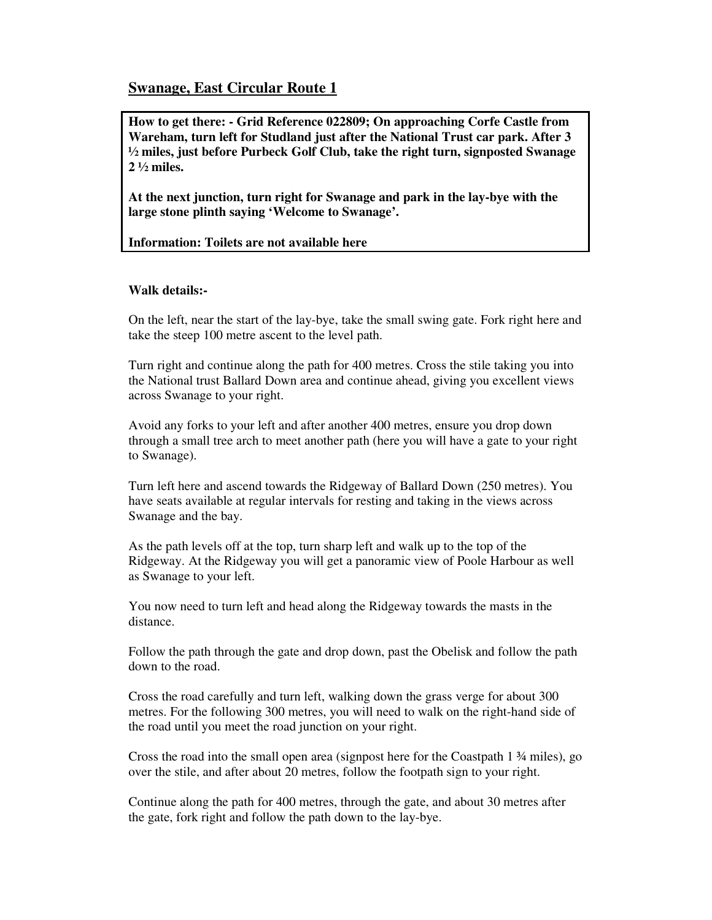## **Swanage, East Circular Route 1**

**How to get there: - Grid Reference 022809; On approaching Corfe Castle from Wareham, turn left for Studland just after the National Trust car park. After 3 ½ miles, just before Purbeck Golf Club, take the right turn, signposted Swanage 2 ½ miles.** 

**At the next junction, turn right for Swanage and park in the lay-bye with the large stone plinth saying 'Welcome to Swanage'.** 

## **Information: Toilets are not available here**

## **Walk details:-**

On the left, near the start of the lay-bye, take the small swing gate. Fork right here and take the steep 100 metre ascent to the level path.

Turn right and continue along the path for 400 metres. Cross the stile taking you into the National trust Ballard Down area and continue ahead, giving you excellent views across Swanage to your right.

Avoid any forks to your left and after another 400 metres, ensure you drop down through a small tree arch to meet another path (here you will have a gate to your right to Swanage).

Turn left here and ascend towards the Ridgeway of Ballard Down (250 metres). You have seats available at regular intervals for resting and taking in the views across Swanage and the bay.

As the path levels off at the top, turn sharp left and walk up to the top of the Ridgeway. At the Ridgeway you will get a panoramic view of Poole Harbour as well as Swanage to your left.

You now need to turn left and head along the Ridgeway towards the masts in the distance.

Follow the path through the gate and drop down, past the Obelisk and follow the path down to the road.

Cross the road carefully and turn left, walking down the grass verge for about 300 metres. For the following 300 metres, you will need to walk on the right-hand side of the road until you meet the road junction on your right.

Cross the road into the small open area (signpost here for the Coastpath 1 ¾ miles), go over the stile, and after about 20 metres, follow the footpath sign to your right.

Continue along the path for 400 metres, through the gate, and about 30 metres after the gate, fork right and follow the path down to the lay-bye.